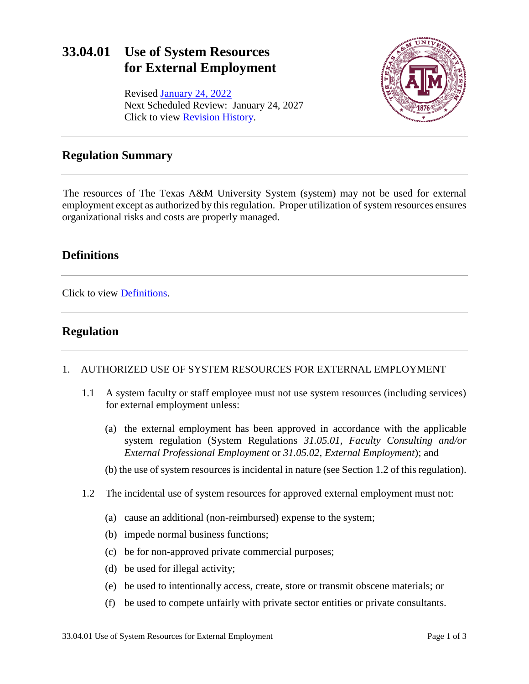# **33.04.01 Use of System Resources for External Employment**

Revised January [24, 2022](https://assets.system.tamus.edu/files/policy/pdf/annotated/33-04-01/33-04-01-ANN-161102.pdf) Next Scheduled Review: January 24, 2027 Click to view [Revision History.](http://assets.system.tamus.edu/files/policy/pdf/REVISIONS/33-04-01-Versions.pdf)



### **Regulation Summary**

The resources of The Texas A&M University System (system) may not be used for external employment except as authorized by this regulation. Proper utilization of system resources ensures organizational risks and costs are properly managed.

## **Definitions**

Click to view [Definitions.](http://assets.system.tamus.edu/files/policy/pdf/definitions/33-04-01-Definitions.pdf)

# **Regulation**

#### 1. AUTHORIZED USE OF SYSTEM RESOURCES FOR EXTERNAL EMPLOYMENT

- 1.1 A system faculty or staff employee must not use system resources (including services) for external employment unless:
	- (a) the external employment has been approved in accordance with the applicable system regulation (System Regulations *31.05.01, Faculty Consulting and/or External Professional Employment* or *31.05.02, External Employment*); and
	- (b) the use of system resources is incidental in nature (see Section 1.2 of this regulation).
- 1.2 The incidental use of system resources for approved external employment must not:
	- (a) cause an additional (non-reimbursed) expense to the system;
	- (b) impede normal business functions;
	- (c) be for non-approved private commercial purposes;
	- (d) be used for illegal activity;
	- (e) be used to intentionally access, create, store or transmit obscene materials; or
	- (f) be used to compete unfairly with private sector entities or private consultants.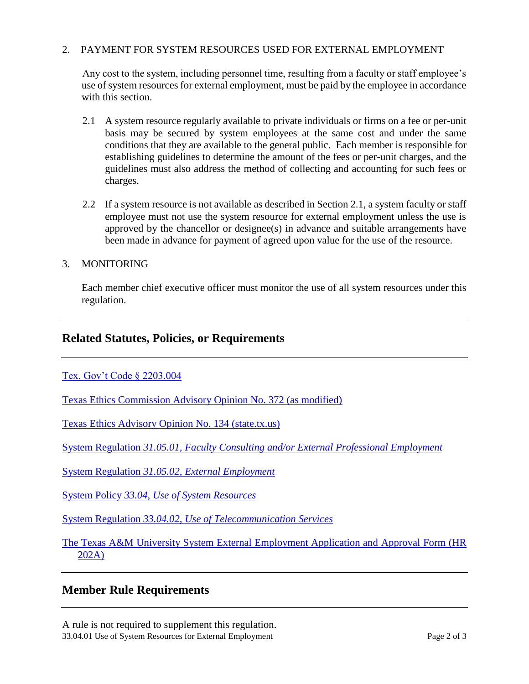### 2. PAYMENT FOR SYSTEM RESOURCES USED FOR EXTERNAL EMPLOYMENT

Any cost to the system, including personnel time, resulting from a faculty or staff employee's use of system resources for external employment, must be paid by the employee in accordance with this section.

- 2.1 A system resource regularly available to private individuals or firms on a fee or per-unit basis may be secured by system employees at the same cost and under the same conditions that they are available to the general public. Each member is responsible for establishing guidelines to determine the amount of the fees or per-unit charges, and the guidelines must also address the method of collecting and accounting for such fees or charges.
- 2.2 If a system resource is not available as described in Section 2.1, a system faculty or staff employee must not use the system resource for external employment unless the use is approved by the chancellor or designee(s) in advance and suitable arrangements have been made in advance for payment of agreed upon value for the use of the resource.

#### 3. MONITORING

Each member chief executive officer must monitor the use of all system resources under this regulation.

### **Related Statutes, Policies, or Requirements**

#### [Tex. Gov't Code § 2203.004](http://www.statutes.legis.state.tx.us/Docs/GV/htm/GV.2203.htm#2203.004)

[Texas Ethics Commission Advisory Opinion No. 372 \(as modified\)](https://www.ethics.state.tx.us/opinions/partII/372.html)

[Texas Ethics Advisory Opinion No. 134 \(state.tx.us\)](https://www.ethics.state.tx.us/opinions/partI/134.html)

System Regulation *31.05.01, Faculty Consulting and/or [External Professional Employment](http://policies.tamus.edu/31-05-01.pdf)*

System Regulation *31.05.02*, *[External Employment](http://policies.tamus.edu/31-05-02.pdf)*

System Policy *[33.04, Use of System Resources](http://policies.tamus.edu/33-04.pdf)*

System Regulation *[33.04.02, Use of Telecommunication Services](http://policies.tamus.edu/33-04-02.pdf)*

[The Texas A&M University System External Employment Application and Approval](http://www.tamus.edu/assets/files/hr/forms/202A.pdf) Form (HR [202A\)](http://www.tamus.edu/assets/files/hr/forms/202A.pdf)

### **Member Rule Requirements**

33.04.01 Use of System Resources for External Employment Page 2 of 3 A rule is not required to supplement this regulation.